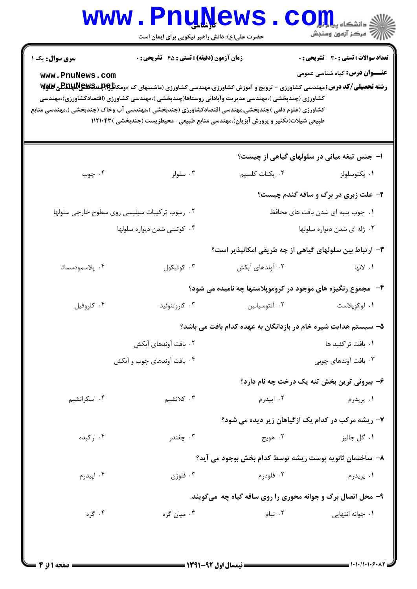|                                                                                                                                                                                                                                                                                                                                                                                                                                                                                                                                                                                                                        | www.PnuNews<br>حضرت علی(ع): دانش راهبر نیکویی برای ایمان است |                                                                 | الا دانشگاه پیام اور C<br>اگر مرکز آزمون وسنجش |  |  |
|------------------------------------------------------------------------------------------------------------------------------------------------------------------------------------------------------------------------------------------------------------------------------------------------------------------------------------------------------------------------------------------------------------------------------------------------------------------------------------------------------------------------------------------------------------------------------------------------------------------------|--------------------------------------------------------------|-----------------------------------------------------------------|------------------------------------------------|--|--|
| <b>تعداد سوالات : تستی : 30 ٪ تشریحی : 0</b><br>زمان آزمون (دقیقه) : تستی : 45 آتشریحی : 0<br><b>سری سوال :</b> یک ۱<br><b>عنـــوان درس:</b> گیاه شناسی عمومی<br>www.PnuNews.com<br><b>رشته تحصیلی/کد درس:</b> مهندسی کشاورزی - ترویج و آموزش کشاورزی،مهندسی کشاورزی (ماشینهای ک ×ومکا <del>نلگابالپ و DAپ</del> کالپلا<br>کشاورزی (چندبخشی )،مهندسی مدیریت وآبادانی روستاها(چندبخشی )،مهندسی کشاورزی (اقتصادکشاورزی)،مهندسی<br>کشاورزی (علوم دامی )چندبخشی،مهندسی اقتصادکشاورزی (چندبخشی )،مهندسی آب وخاک (چندبخشی )،مهندسی منابع<br>طبیعی شیلات(تکثیر و پرورش آبزیان)،مهندسی منابع طبیعی -محیطزیست (چندبخشی )۱۱۲۱۰۴۳ |                                                              |                                                                 |                                                |  |  |
|                                                                                                                                                                                                                                                                                                                                                                                                                                                                                                                                                                                                                        |                                                              |                                                                 | ا- جنس تیغه میانی در سلولهای گیاهی از چیست؟    |  |  |
| ۰۴ چوب                                                                                                                                                                                                                                                                                                                                                                                                                                                                                                                                                                                                                 | ۰۳ سلولز                                                     | ۰۲ پکتات کلسیم                                                  | ۰۱ پکتوسلولز                                   |  |  |
|                                                                                                                                                                                                                                                                                                                                                                                                                                                                                                                                                                                                                        |                                                              |                                                                 | <b>۲</b> - علت زبری در برگ و ساقه گندم چیست؟   |  |  |
|                                                                                                                                                                                                                                                                                                                                                                                                                                                                                                                                                                                                                        | ۰۲ رسوب ترکیبات سیلیسی روی سطوح خارجی سلولها                 |                                                                 | ٠١. چوب پنبه ای شدن بافت های محافظ             |  |  |
|                                                                                                                                                                                                                                                                                                                                                                                                                                                                                                                                                                                                                        | ۰۴ کوتینی شدن دیواره سلولها                                  | ۰۳ ژله ای شدن دیواره سلولها                                     |                                                |  |  |
|                                                                                                                                                                                                                                                                                                                                                                                                                                                                                                                                                                                                                        |                                                              | ۳- ارتباط بین سلولهای گیاهی از چه طریقی امکانپذیر است؟          |                                                |  |  |
| ۰۴ پلاسمودسماتا                                                                                                                                                                                                                                                                                                                                                                                                                                                                                                                                                                                                        | ۰۳ کوتیکول                                                   | ۰۲ آوندهای آبکش                                                 | ۰۱ لانها                                       |  |  |
|                                                                                                                                                                                                                                                                                                                                                                                                                                                                                                                                                                                                                        | ۴- مجموع رنگیزه های موجود در کروموپلاستها چه نامیده می شود؟  |                                                                 |                                                |  |  |
| ۰۴ کلروفيل                                                                                                                                                                                                                                                                                                                                                                                                                                                                                                                                                                                                             | ۰۳ کاروتنوئید                                                | ۰۲ آنتوسیانین                                                   | ٠١ لوكوپلاست                                   |  |  |
|                                                                                                                                                                                                                                                                                                                                                                                                                                                                                                                                                                                                                        |                                                              | ۵– سیستم هدایت شیره خام در بازدانگان به عهده کدام بافت می باشد؟ |                                                |  |  |
|                                                                                                                                                                                                                                                                                                                                                                                                                                                                                                                                                                                                                        | ۰۲ بافت آوندهای آبکش                                         |                                                                 | ٠١. بافت تراكئيد ها                            |  |  |
|                                                                                                                                                                                                                                                                                                                                                                                                                                                                                                                                                                                                                        | ۰۴ بافت آوندهای چوب و آبکش                                   |                                                                 | ۰۳ بافت آوندهای چوبی                           |  |  |
|                                                                                                                                                                                                                                                                                                                                                                                                                                                                                                                                                                                                                        |                                                              |                                                                 | ۶- بیرونی ترین بخش تنه یک درخت چه نام دارد؟    |  |  |
| ۰۴ اسکرانشیم                                                                                                                                                                                                                                                                                                                                                                                                                                                                                                                                                                                                           | ۰۳ کلانشیم                                                   | ۰۲ اپیدرم                                                       | ۰۱ پريدرم                                      |  |  |
|                                                                                                                                                                                                                                                                                                                                                                                                                                                                                                                                                                                                                        |                                                              | ۷- ریشه مرکب در کدام یک ازگیاهان زیر دیده می شود؟               |                                                |  |  |
| ۰۴ ارکیده                                                                                                                                                                                                                                                                                                                                                                                                                                                                                                                                                                                                              | ۰۳ چغندر                                                     | ۰۲ هويج                                                         | ۰۱ گل جاليز                                    |  |  |
|                                                                                                                                                                                                                                                                                                                                                                                                                                                                                                                                                                                                                        |                                                              | ٨− ساختمان ثانويه پوست ريشه توسط كدام بخش بوجود مي آيد؟         |                                                |  |  |
| ۰۴ اپیدرم                                                                                                                                                                                                                                                                                                                                                                                                                                                                                                                                                                                                              | فلوژن $\cdot$ ۳                                              | ۰۲ فلودرم                                                       | ۰۱ پريدرم                                      |  |  |
|                                                                                                                                                                                                                                                                                                                                                                                                                                                                                                                                                                                                                        | ۹- محل اتصال برگ و جوانه محوری را روی ساقه گیاه چه ًمیگویند. |                                                                 |                                                |  |  |
| ۰۴ گره                                                                                                                                                                                                                                                                                                                                                                                                                                                                                                                                                                                                                 | ۰۳ میان گره                                                  | ۰۲ نیام                                                         | ۰۱ جوانه انتهایی                               |  |  |
|                                                                                                                                                                                                                                                                                                                                                                                                                                                                                                                                                                                                                        |                                                              |                                                                 |                                                |  |  |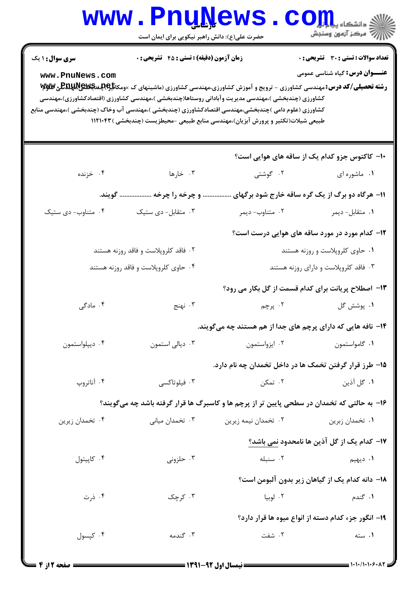|                        | <b>www.Pnuwews</b><br>حضرت علی(ع): دانش راهبر نیکویی برای ایمان است                                                                                                                                                                                                                                                                                                                                                               |                                                             | $\mathbf{C}\mathbf{O}\mathbf{H}$ دانشڪاه پ<br>أآآآآ مرکز آزمون وسنجش |
|------------------------|-----------------------------------------------------------------------------------------------------------------------------------------------------------------------------------------------------------------------------------------------------------------------------------------------------------------------------------------------------------------------------------------------------------------------------------|-------------------------------------------------------------|----------------------------------------------------------------------|
| <b>سری سوال : ۱ یک</b> | <b>زمان آزمون (دقیقه) : تستی : 45 گشریحی : 0</b>                                                                                                                                                                                                                                                                                                                                                                                  |                                                             | <b>تعداد سوالات : تستی : 30 ٪ تشریحی : 0</b>                         |
| www.PnuNews.com        | <b>رشته تحصیلی/کد درس:</b> مهندسی کشاورزی - ترویج و آموزش کشاورزی،مهندسی کشاورزی (ماشینهای ک ×ومکا <del>نا PAUME و PAUME و M</del><br>کشاورزی (چندبخشی )،مهندسی مدیریت وآبادانی روستاها(چندبخشی )،مهندسی کشاورزی (اقتصادکشاورزی)،مهندسی<br>کشاورزی (علوم دامی )چندبخشی،مهندسی اقتصادکشاورزی (چندبخشی )،مهندسی آب وخاک (چندبخشی )،مهندسی منابع<br>طبیعی شیلات(تکثیر و پرورش آبزیان)،مهندسی منابع طبیعی -محیطزیست (چندبخشی )۱۱۲۱۰۴۳ |                                                             | <b>عنـــوان درس:</b> گیاه شناسی عمومی                                |
|                        |                                                                                                                                                                                                                                                                                                                                                                                                                                   |                                                             | ۱۰– کاکتوس جزو کدام یک از ساقه های هوایی است؟                        |
| ۰۴ خزنده               | ۰۳ خارها                                                                                                                                                                                                                                                                                                                                                                                                                          | ۰۲ گوشتی                                                    | ۰۱ ماشوره ای                                                         |
|                        | و چرخه را چرخه  گویند.                                                                                                                                                                                                                                                                                                                                                                                                            | 11- هرگاه دو برگ از یک گره ساقه خارج شود برگهای             |                                                                      |
| ۰۴ متناوب- دی ستیک     | ۰۳ متقابل- دی ستیک                                                                                                                                                                                                                                                                                                                                                                                                                | ۰۲ متناوب- ديمر                                             | ۰۱ متقابل- ديمر                                                      |
|                        |                                                                                                                                                                                                                                                                                                                                                                                                                                   | ۱۲- کدام مورد در مورد ساقه های هوایی درست است؟              |                                                                      |
|                        | ۰۲ فاقد کلروپلاست و فاقد روزنه هستند                                                                                                                                                                                                                                                                                                                                                                                              |                                                             | ۰۱ حاوی کلروپلاست و روزنه هستند                                      |
|                        | ۰۴ حاوی کلروپلاست و فاقد روزنه هستند                                                                                                                                                                                                                                                                                                                                                                                              |                                                             | ۰۳ فاقد کلروپلاست و دارای روزنه هستند                                |
|                        |                                                                                                                                                                                                                                                                                                                                                                                                                                   | ۱۳- اصطلاح پریانت برای کدام قسمت از گل بکار می رود؟         |                                                                      |
| ۰۴ مادگی               | ۰۳ نهنج                                                                                                                                                                                                                                                                                                                                                                                                                           | ۲. پرچم                                                     | ۰۱ پوشش گل                                                           |
|                        |                                                                                                                                                                                                                                                                                                                                                                                                                                   | ۱۴– نافه هایی که دارای پرچم های جدا از هم هستند چه میگویند. |                                                                      |
| ۰۴ ديپلواستمون         | ۰۳ دیالی استمون                                                                                                                                                                                                                                                                                                                                                                                                                   | ۰۱ گامواستمون میستر استمون                                  |                                                                      |
|                        |                                                                                                                                                                                                                                                                                                                                                                                                                                   | ۱۵– طرز قرار گرفتن تخمک ها در داخل تخمدان چه نام دارد.      |                                                                      |
| ۰۴ آناتروپ             | ۰۳ فیلوتاکسی                                                                                                                                                                                                                                                                                                                                                                                                                      | ۰۲ تمکن                                                     | ۰۱ گل آذین                                                           |
|                        | ۱۶- به حالتی که تخمدان در سطحی پایین تر از پرچم ها و کاسبرگ ها قرار گرفته باشد چه میگویند؟                                                                                                                                                                                                                                                                                                                                        |                                                             |                                                                      |
| ۰۴ تخمدان زيرين        | ۰۳ تخمدان میان <i>ی</i>                                                                                                                                                                                                                                                                                                                                                                                                           | ۰۲ تخمدان نیمه زیرین                                        | ۰۱ تخمدان زبرين                                                      |
|                        |                                                                                                                                                                                                                                                                                                                                                                                                                                   |                                                             | 17– كدام يك از گل آذين ها نامحدود نمي باشد؟                          |
| ۰۴ کاپیتول             | ۰۳ حلزونی                                                                                                                                                                                                                                                                                                                                                                                                                         | ۰۲ سنبله                                                    | <b>۱</b> . ديهيم                                                     |
|                        |                                                                                                                                                                                                                                                                                                                                                                                                                                   |                                                             | 1۸- دانه کدام یک از گیاهان زیر بدون آلبومن است؟                      |
| ۰۴ ذرت                 | ۰۳ کرچک                                                                                                                                                                                                                                                                                                                                                                                                                           | ۰۲ لوبيا                                                    | ۰۱ گندم                                                              |
|                        |                                                                                                                                                                                                                                                                                                                                                                                                                                   |                                                             | ۱۹– انگور جزء کدام دسته از انواع میوه ها قرار دارد؟                  |
| ۰۴ کپسول               | ۰۳ گندمه                                                                                                                                                                                                                                                                                                                                                                                                                          | ۰۲ شفت                                                      | ۰۱ سته                                                               |
|                        |                                                                                                                                                                                                                                                                                                                                                                                                                                   |                                                             |                                                                      |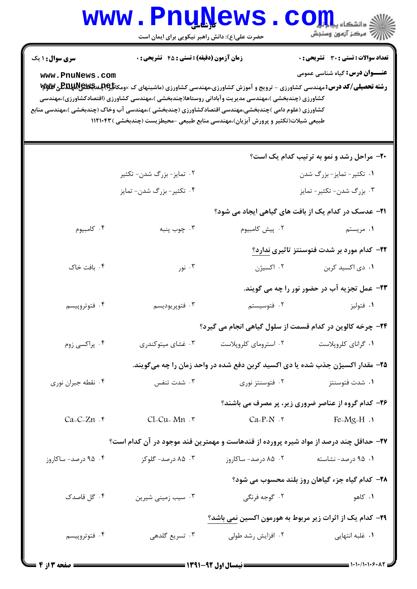|                        | <b>www.PnuNews</b><br>حضرت علی(ع): دانش راهبر نیکویی برای ایمان است |                                                                                                                                                                                                                                                                                                                                                                                                                                           | دانشکاه پیاباند<br>رآب مرڪز آزمون وسنڊش                     |
|------------------------|---------------------------------------------------------------------|-------------------------------------------------------------------------------------------------------------------------------------------------------------------------------------------------------------------------------------------------------------------------------------------------------------------------------------------------------------------------------------------------------------------------------------------|-------------------------------------------------------------|
| <b>سری سوال : ۱ یک</b> | <b>زمان آزمون (دقیقه) : تستی : 45 قشریحی : 0</b>                    |                                                                                                                                                                                                                                                                                                                                                                                                                                           | تعداد سوالات : تستي : 30 - تشريحي : 0                       |
| www.PnuNews.com        |                                                                     | <b>رشته تحصیلی/کد درس:</b> مهندسی کشاورزی - ترویج و آموزش کشاورزی،مهندسی کشاورزی (ماشینهای ک ×ومکا <del>نا P.Q</del> پغداپکلیللهای کللاپا<br>کشاورزی (چندبخشی )،مهندسی مدیریت وآبادانی روستاها(چندبخشی )،مهندسی کشاورزی (اقتصادکشاورزی)،مهندسی<br>کشاورزی (علوم دامی )چندبخشی،مهندسی اقتصادکشاورزی (چندبخشی )،مهندسی آب وخاک (چندبخشی )،مهندسی منابع<br>طبیعی شیلات(تکثیر و پرورش آبزیان)،مهندسی منابع طبیعی -محیطزیست (چندبخشی ) ۱۱۲۱۰۴۳ | <b>عنـــوان درس:</b> گیاه شناسی عمومی                       |
|                        |                                                                     |                                                                                                                                                                                                                                                                                                                                                                                                                                           | <b>۲۰</b> - مراحل رشد و نمو به ترتیب کدام یک است؟           |
|                        | ۰۲ تمایز- بزرگ شدن- تکثیر                                           |                                                                                                                                                                                                                                                                                                                                                                                                                                           | ۰۱ تکثیر- تمایز- بزرگ شدن                                   |
|                        | ۰۴ تکثیر- بزرگ شدن- تمایز                                           |                                                                                                                                                                                                                                                                                                                                                                                                                                           | ۰۳ بزرگ شدن- تکثیر- تمایز                                   |
|                        |                                                                     |                                                                                                                                                                                                                                                                                                                                                                                                                                           | <b>۲۱</b> – عدسک در کدام یک از بافت های گیاهی ایجاد می شود؟ |
| ۰۴ کامبیوم             | ۰۳ چوب پنبه                                                         | ۰۲ پیش کامبیوم                                                                                                                                                                                                                                                                                                                                                                                                                            | ۰۱ مریستم                                                   |
|                        |                                                                     |                                                                                                                                                                                                                                                                                                                                                                                                                                           | <b>۲۲</b> – کدام مورد بر شدت فتوسنتز تاثیری ندارد؟          |
| ۰۴ بافت خاک            | ۰۳ نور                                                              | ۰۲ اکسیژن                                                                                                                                                                                                                                                                                                                                                                                                                                 | ۰۱ دی اکسید کربن                                            |
|                        |                                                                     |                                                                                                                                                                                                                                                                                                                                                                                                                                           | <b>۲۳</b> - عمل تجزیه آب در حضور نور را چه می گویند.        |
| ۰۴ فتوتروپیسم          | ۰۳ فتوپريوديسم                                                      | ۰۲ فتوسیستم                                                                                                                                                                                                                                                                                                                                                                                                                               | ۰۱ فتوليز                                                   |
|                        |                                                                     | <b>۲۴</b> - چرخه کالوین در کدام قسمت از سلول گیاهی انجام می گیرد؟                                                                                                                                                                                                                                                                                                                                                                         |                                                             |
| ۰۴ پراکسی زوم          | ۰۳ غشای میتوکندری                                                   | ۰۲ استرومای کلروپلاست                                                                                                                                                                                                                                                                                                                                                                                                                     | ٠١ گراناي كلروپلاست                                         |
|                        |                                                                     | ۲۵- مقدار اکسیژن جذب شده یا دی اکسید کربن دفع شده در واحد زمان را چه میگویند.                                                                                                                                                                                                                                                                                                                                                             |                                                             |
| ۰۴ نقطه جبران نوري     | ۰۳ شدت تنفس                                                         | ۰۲ فتوسنتز نوری                                                                                                                                                                                                                                                                                                                                                                                                                           | ۰۱ شدت فتوسنتز                                              |
|                        |                                                                     |                                                                                                                                                                                                                                                                                                                                                                                                                                           | ۲۶- کدام گروه از عناصر ضروری زیر، پر مصرف می باشند؟         |
| $Ca-C-Zn$ .            | $Cl-Cu-Mn$ . ۳                                                      | $Ca-P-N$ . $\tau$                                                                                                                                                                                                                                                                                                                                                                                                                         | $Fe-Mg-H.$                                                  |
|                        |                                                                     | ۲۷– حداقل چند درصد از مواد شیره پرورده از قندهاست و مهمترین قند موجود در آن کدام است؟                                                                                                                                                                                                                                                                                                                                                     |                                                             |
| ۰۴ درصد- ساکاروز       | ۰۳ ۸۵ درصد- گلوکز                                                   | ۰۲ ۸۵ درصد- ساکاروز                                                                                                                                                                                                                                                                                                                                                                                                                       | ۰۱ ۹۵ درصد- نشاسته                                          |
|                        |                                                                     |                                                                                                                                                                                                                                                                                                                                                                                                                                           | ۲۸- کدام گیاه جزء گیاهان روز بلند محسوب می شود؟             |
| ۰۴ گل قاصدک            | ۰۳ سیب زمینی شیرین                                                  | ۰۲ گوجه فرنگی                                                                                                                                                                                                                                                                                                                                                                                                                             | ۰۱ کاهو                                                     |
|                        |                                                                     |                                                                                                                                                                                                                                                                                                                                                                                                                                           | ۲۹– کدام یک از اثرات زیر مربوط به هورمون اکسین نمی باشد؟    |
| ۰۴ فتوتروپیسم          | ۰۳ تسریع گلدهی                                                      | ۰۲ افزایش رشد طولی                                                                                                                                                                                                                                                                                                                                                                                                                        | ۰۱ غلبه انتهایی                                             |
|                        |                                                                     |                                                                                                                                                                                                                                                                                                                                                                                                                                           |                                                             |

 $= 1.1 - 11.1 - 5.17$